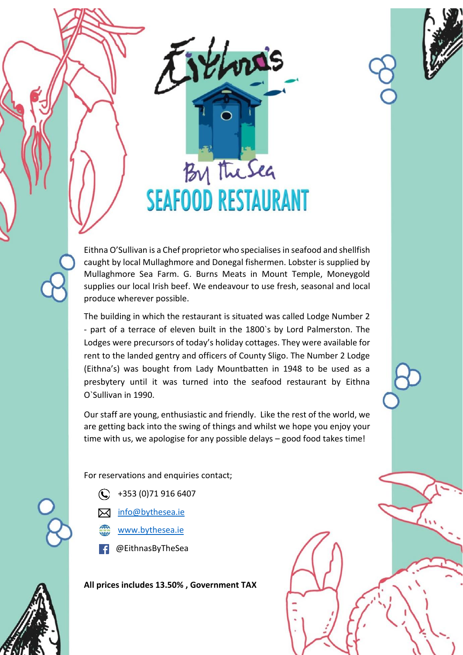



Eithna O'Sullivan is a Chef proprietor who specialises in seafood and shellfish caught by local Mullaghmore and Donegal fishermen. Lobster is supplied by Mullaghmore Sea Farm. G. Burns Meats in Mount Temple, Moneygold supplies our local Irish beef. We endeavour to use fresh, seasonal and local produce wherever possible.

The building in which the restaurant is situated was called Lodge Number 2 - part of a terrace of eleven built in the 1800`s by Lord Palmerston. The Lodges were precursors of today's holiday cottages. They were available for rent to the landed gentry and officers of County Sligo. The Number 2 Lodge (Eithna's) was bought from Lady Mountbatten in 1948 to be used as a presbytery until it was turned into the seafood restaurant by Eithna O`Sullivan in 1990.

Our staff are young, enthusiastic and friendly. Like the rest of the world, we are getting back into the swing of things and whilst we hope you enjoy your time with us, we apologise for any possible delays – good food takes time!

For reservations and enquiries contact;

- $\bigodot$  +353 (0)71 916 6407
- M [info@bythesea.ie](mailto:info@bythesea.ie)
- [www.bythesea.ie](http://www.bythesea.ie/)
- @EithnasByTheSea

**All prices includes 13.50% , Government TAX**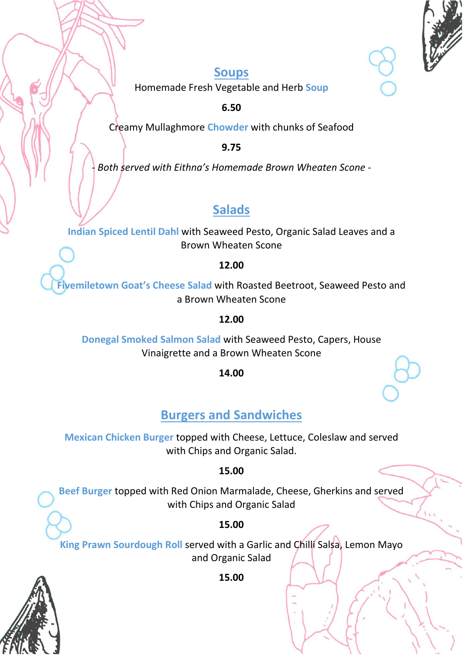

### **Soups**

Homemade Fresh Vegetable and Herb **Soup**

**6.50**

Creamy Mullaghmore **Chowder** with chunks of Seafood

**9.75**

*- Both served with Eithna's Homemade Brown Wheaten Scone -*

# **Salads**

**Indian Spiced Lentil Dahl** with Seaweed Pesto, Organic Salad Leaves and a Brown Wheaten Scone

**12.00**

**Fivemiletown Goat's Cheese Salad** with Roasted Beetroot, Seaweed Pesto and a Brown Wheaten Scone

#### **12.00**

**Donegal Smoked Salmon Salad** with Seaweed Pesto, Capers, House Vinaigrette and a Brown Wheaten Scone

**14.00**

# **Burgers and Sandwiches**

**Mexican Chicken Burger** topped with Cheese, Lettuce, Coleslaw and served with Chips and Organic Salad.

#### **15.00**

**Beef Burger** topped with Red Onion Marmalade, Cheese, Gherkins and served with Chips and Organic Salad

### **15.00**

**King Prawn Sourdough Roll** served with a Garlic and Chilli Salsa, Lemon Mayo and Organic Salad

**15.00**

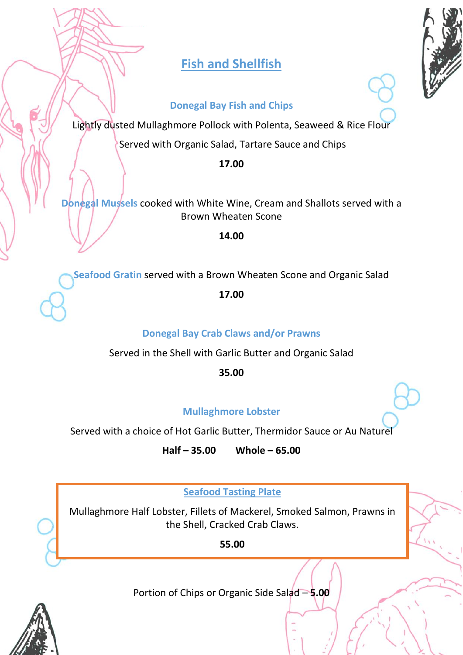# **Fish and Shellfish**

#### **Donegal Bay Fish and Chips**

Lightly dusted Mullaghmore Pollock with Polenta, Seaweed & Rice Flour

Served with Organic Salad, Tartare Sauce and Chips

**17.00**

**Donegal Mussels** cooked with White Wine, Cream and Shallots served with a Brown Wheaten Scone

**14.00**

**Seafood Gratin** served with a Brown Wheaten Scone and Organic Salad

**17.00**

**Donegal Bay Crab Claws and/or Prawns**

Served in the Shell with Garlic Butter and Organic Salad

**35.00**

### **Mullaghmore Lobster**

Served with a choice of Hot Garlic Butter, Thermidor Sauce or Au Naturel

**Half – 35.00 Whole – 65.00**

**Seafood Tasting Plate**

Mullaghmore Half Lobster, Fillets of Mackerel, Smoked Salmon, Prawns in the Shell, Cracked Crab Claws.

**55.00**

Portion of Chips or Organic Side Salad – **5.00**